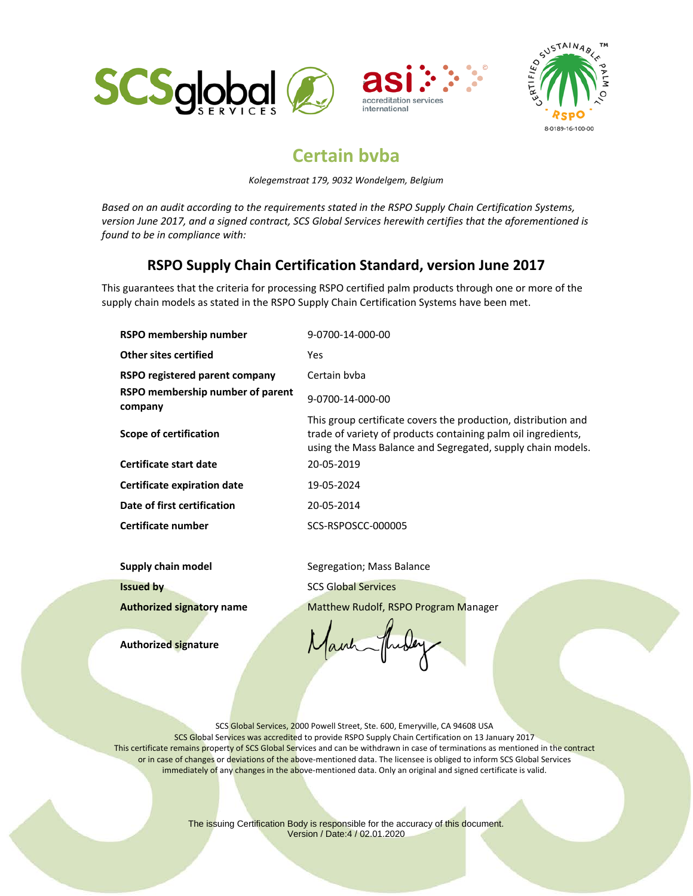





## **Certain bvba**

*Kolegemstraat 179, 9032 Wondelgem, Belgium*

*Based on an audit according to the requirements stated in the RSPO Supply Chain Certification Systems, version June 2017, and a signed contract, SCS Global Services herewith certifies that the aforementioned is found to be in compliance with:*

## **RSPO Supply Chain Certification Standard, version June 2017**

This guarantees that the criteria for processing RSPO certified palm products through one or more of the supply chain models as stated in the RSPO Supply Chain Certification Systems have been met.

| RSPO membership number                      | 9-0700-14-000-00                                                                                                                                                                               |
|---------------------------------------------|------------------------------------------------------------------------------------------------------------------------------------------------------------------------------------------------|
| Other sites certified                       | Yes.                                                                                                                                                                                           |
| RSPO registered parent company              | Certain byba                                                                                                                                                                                   |
| RSPO membership number of parent<br>company | 9-0700-14-000-00                                                                                                                                                                               |
| Scope of certification                      | This group certificate covers the production, distribution and<br>trade of variety of products containing palm oil ingredients,<br>using the Mass Balance and Segregated, supply chain models. |
| Certificate start date                      | 20-05-2019                                                                                                                                                                                     |
| Certificate expiration date                 | 19-05-2024                                                                                                                                                                                     |
| Date of first certification                 | 20-05-2014                                                                                                                                                                                     |
| Certificate number                          | SCS-RSPOSCC-000005                                                                                                                                                                             |

**Supply chain model** Segregation; Mass Balance **Issued by** SCS Global Services **Authorized signatory name** Matthew Rudolf, RSPO Program Manager

**Authorized signature** 

auh

SCS Global Services, 2000 Powell Street, Ste. 600, Emeryville, CA 94608 USA SCS Global Services was accredited to provide RSPO Supply Chain Certification on 13 January 2017 This certificate remains property of SCS Global Services and can be withdrawn in case of terminations as mentioned in the contract or in case of changes or deviations of the above-mentioned data. The licensee is obliged to inform SCS Global Services immediately of any changes in the above-mentioned data. Only an original and signed certificate is valid.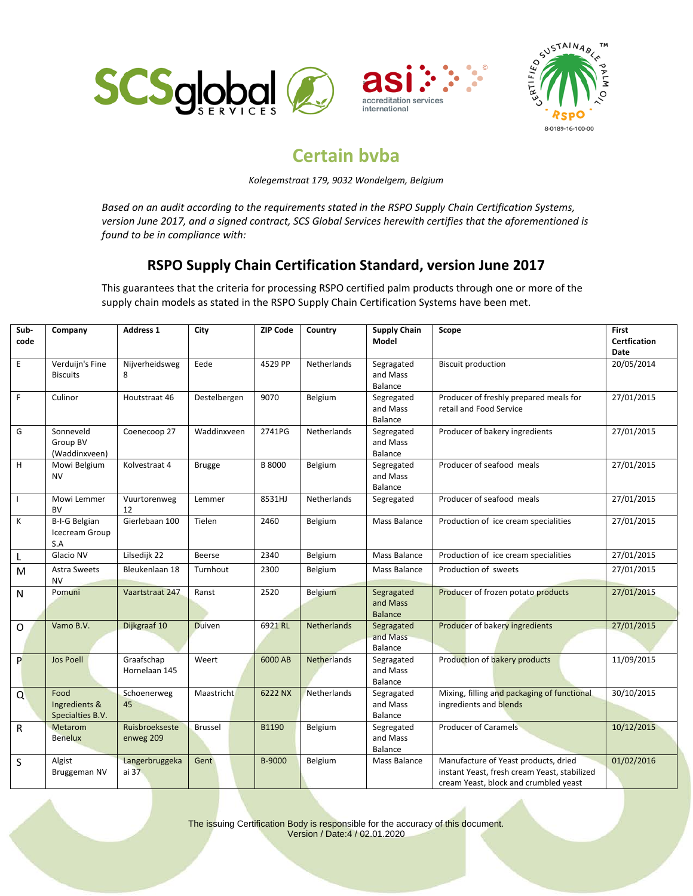





## **Certain bvba**

*Kolegemstraat 179, 9032 Wondelgem, Belgium*

*Based on an audit according to the requirements stated in the RSPO Supply Chain Certification Systems, version June 2017, and a signed contract, SCS Global Services herewith certifies that the aforementioned is found to be in compliance with:*

## **RSPO Supply Chain Certification Standard, version June 2017**

This guarantees that the criteria for processing RSPO certified palm products through one or more of the supply chain models as stated in the RSPO Supply Chain Certification Systems have been met.

| Sub-         | Company                                   | <b>Address 1</b>            | City           | <b>ZIP Code</b> | Country            | <b>Supply Chain</b>                      | Scope                                                                                                                         | <b>First</b>                       |
|--------------|-------------------------------------------|-----------------------------|----------------|-----------------|--------------------|------------------------------------------|-------------------------------------------------------------------------------------------------------------------------------|------------------------------------|
| code         |                                           |                             |                |                 |                    | Model                                    |                                                                                                                               | <b>Certfication</b><br><b>Date</b> |
| $\mathsf E$  | Verduijn's Fine<br><b>Biscuits</b>        | Nijverheidsweg<br>8         | Eede           | 4529 PP         | Netherlands        | Segragated<br>and Mass<br>Balance        | <b>Biscuit production</b>                                                                                                     | 20/05/2014                         |
| $\mathsf F$  | Culinor                                   | Houtstraat 46               | Destelbergen   | 9070            | Belgium            | Segregated<br>and Mass<br><b>Balance</b> | Producer of freshly prepared meals for<br>retail and Food Service                                                             | 27/01/2015                         |
| G            | Sonneveld<br>Group BV<br>(Waddinxveen)    | Coenecoop 27                | Waddinxveen    | 2741PG          | <b>Netherlands</b> | Segregated<br>and Mass<br><b>Balance</b> | Producer of bakery ingredients                                                                                                | 27/01/2015                         |
| H            | Mowi Belgium<br><b>NV</b>                 | Kolvestraat 4               | <b>Brugge</b>  | <b>B 8000</b>   | Belgium            | Segregated<br>and Mass<br><b>Balance</b> | Producer of seafood meals                                                                                                     | 27/01/2015                         |
| $\mathbf{I}$ | Mowi Lemmer<br><b>BV</b>                  | Vuurtorenweg<br>12          | Lemmer         | 8531HJ          | <b>Netherlands</b> | Segregated                               | Producer of seafood meals                                                                                                     | 27/01/2015                         |
| К            | B-I-G Belgian<br>Icecream Group<br>S.A    | Gierlebaan 100              | Tielen         | 2460            | Belgium            | Mass Balance                             | Production of ice cream specialities                                                                                          | 27/01/2015                         |
| L            | Glacio NV                                 | Lilsedijk 22                | <b>Beerse</b>  | 2340            | Belgium            | Mass Balance                             | Production of ice cream specialities                                                                                          | 27/01/2015                         |
| M            | Astra Sweets<br>NV                        | Bleukenlaan 18              | Turnhout       | 2300            | Belgium            | Mass Balance                             | Production of sweets                                                                                                          | 27/01/2015                         |
| $\mathsf{N}$ | Pomuni                                    | Vaartstraat 247             | Ranst          | 2520            | <b>Belgium</b>     | Segragated<br>and Mass<br><b>Balance</b> | Producer of frozen potato products                                                                                            | 27/01/2015                         |
| $\Omega$     | Vamo B.V.                                 | Dijkgraaf 10                | <b>Duiven</b>  | 6921 RL         | <b>Netherlands</b> | Segragated<br>and Mass<br>Balance        | Producer of bakery ingredients                                                                                                | 27/01/2015                         |
| P            | <b>Jos Poell</b>                          | Graafschap<br>Hornelaan 145 | Weert          | 6000 AB         | <b>Netherlands</b> | Segragated<br>and Mass<br>Balance        | Production of bakery products                                                                                                 | 11/09/2015                         |
| Q            | Food<br>Ingredients &<br>Specialties B.V. | Schoenerweg<br>45           | Maastricht     | 6222 NX         | Netherlands        | Segragated<br>and Mass<br>Balance        | Mixing, filling and packaging of functional<br>ingredients and blends                                                         | 30/10/2015                         |
| $\mathsf{R}$ | <b>Metarom</b><br><b>Benelux</b>          | Ruisbroekseste<br>enweg 209 | <b>Brussel</b> | B1190           | Belgium            | Segregated<br>and Mass<br><b>Balance</b> | <b>Producer of Caramels</b>                                                                                                   | 10/12/2015                         |
| S            | Algist<br>Bruggeman NV                    | Langerbruggeka<br>ai 37     | Gent           | B-9000          | Belgium            | Mass Balance                             | Manufacture of Yeast products, dried<br>instant Yeast, fresh cream Yeast, stabilized<br>cream Yeast, block and crumbled yeast | 01/02/2016                         |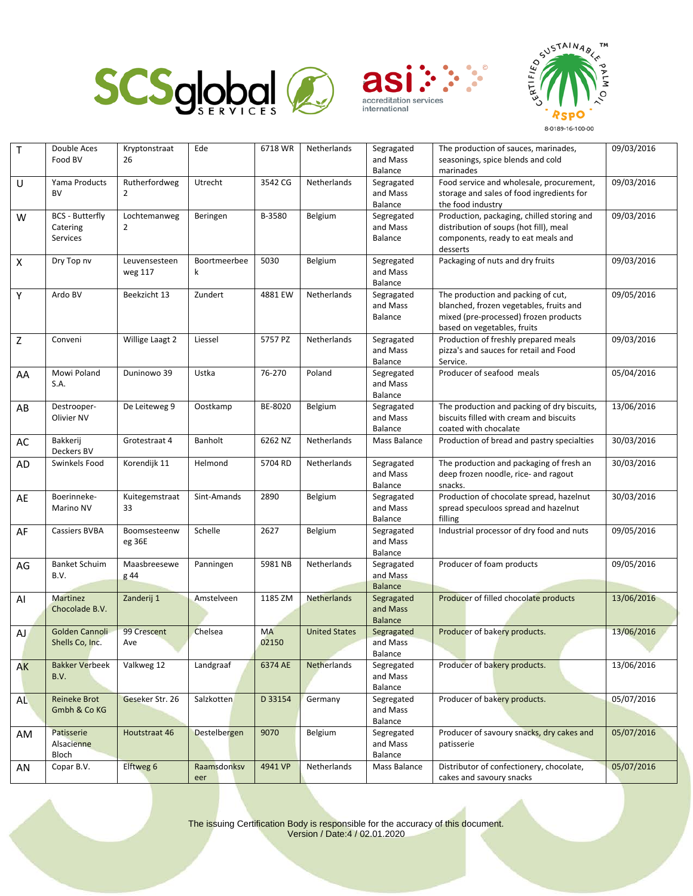





| $\mathsf T$               | Double Aces                   | Kryptonstraat   | Ede                 | 6718 WR   | Netherlands          | Segragated             | The production of sauces, marinades,                                         | 09/03/2016 |
|---------------------------|-------------------------------|-----------------|---------------------|-----------|----------------------|------------------------|------------------------------------------------------------------------------|------------|
|                           | Food BV                       | 26              |                     |           |                      | and Mass               | seasonings, spice blends and cold                                            |            |
|                           |                               |                 |                     |           |                      | Balance                | marinades                                                                    |            |
| U                         | Yama Products                 | Rutherfordweg   | Utrecht             | 3542 CG   | Netherlands          | Segragated             | Food service and wholesale, procurement,                                     | 09/03/2016 |
|                           | <b>BV</b>                     | $\overline{2}$  |                     |           |                      | and Mass               | storage and sales of food ingredients for                                    |            |
|                           |                               |                 |                     |           |                      | Balance                | the food industry                                                            |            |
| W                         | <b>BCS - Butterfly</b>        | Lochtemanweg    | Beringen            | B-3580    | Belgium              | Segregated<br>and Mass | Production, packaging, chilled storing and                                   | 09/03/2016 |
|                           | Catering                      | $\overline{2}$  |                     |           |                      | Balance                | distribution of soups (hot fill), meal<br>components, ready to eat meals and |            |
|                           | Services                      |                 |                     |           |                      |                        | desserts                                                                     |            |
| $\boldsymbol{\mathsf{X}}$ | Dry Top nv                    | Leuvensesteen   | Boortmeerbee        | 5030      | Belgium              | Segregated             | Packaging of nuts and dry fruits                                             | 09/03/2016 |
|                           |                               | weg 117         | k                   |           |                      | and Mass               |                                                                              |            |
|                           |                               |                 |                     |           |                      | Balance                |                                                                              |            |
| Υ                         | Ardo BV                       | Beekzicht 13    | Zundert             | 4881 EW   | Netherlands          | Segragated             | The production and packing of cut,                                           | 09/05/2016 |
|                           |                               |                 |                     |           |                      | and Mass               | blanched, frozen vegetables, fruits and                                      |            |
|                           |                               |                 |                     |           |                      | Balance                | mixed (pre-processed) frozen products                                        |            |
|                           |                               |                 |                     |           |                      |                        | based on vegetables, fruits                                                  |            |
| Z                         | Conveni                       | Willige Laagt 2 | Liessel             | 5757 PZ   | Netherlands          | Segragated             | Production of freshly prepared meals                                         | 09/03/2016 |
|                           |                               |                 |                     |           |                      | and Mass               | pizza's and sauces for retail and Food                                       |            |
|                           |                               |                 |                     |           |                      | Balance                | Service.                                                                     |            |
| AA                        | Mowi Poland                   | Duninowo 39     | Ustka               | 76-270    | Poland               | Segregated             | Producer of seafood meals                                                    | 05/04/2016 |
|                           | S.A.                          |                 |                     |           |                      | and Mass               |                                                                              |            |
|                           |                               |                 |                     |           |                      | Balance                |                                                                              |            |
| AB                        | Destrooper-                   | De Leiteweg 9   | Oostkamp            | BE-8020   | Belgium              | Segragated             | The production and packing of dry biscuits,                                  | 13/06/2016 |
|                           | Olivier NV                    |                 |                     |           |                      | and Mass               | biscuits filled with cream and biscuits                                      |            |
|                           |                               |                 |                     |           |                      | Balance                | coated with chocalate                                                        |            |
| AC                        | Bakkerij                      | Grotestraat 4   | Banholt             | 6262 NZ   | Netherlands          | Mass Balance           | Production of bread and pastry specialties                                   | 30/03/2016 |
|                           | Deckers BV                    |                 |                     |           |                      |                        |                                                                              |            |
| AD                        | Swinkels Food                 | Korendijk 11    | Helmond             | 5704 RD   | Netherlands          | Segragated             | The production and packaging of fresh an                                     | 30/03/2016 |
|                           |                               |                 |                     |           |                      | and Mass<br>Balance    | deep frozen noodle, rice- and ragout<br>snacks.                              |            |
|                           | Boerinneke-                   | Kuitegemstraat  | Sint-Amands         | 2890      | Belgium              | Segragated             | Production of chocolate spread, hazelnut                                     | 30/03/2016 |
| AE                        | Marino NV                     | 33              |                     |           |                      | and Mass               | spread speculoos spread and hazelnut                                         |            |
|                           |                               |                 |                     |           |                      | Balance                | filling                                                                      |            |
| AF                        | <b>Cassiers BVBA</b>          | Boomsesteenw    | Schelle             | 2627      | Belgium              | Segragated             | Industrial processor of dry food and nuts                                    | 09/05/2016 |
|                           |                               | eg 36E          |                     |           |                      | and Mass               |                                                                              |            |
|                           |                               |                 |                     |           |                      | Balance                |                                                                              |            |
| AG                        | <b>Banket Schuim</b>          | Maasbreesewe    | Panningen           | 5981 NB   | Netherlands          | Segragated             | Producer of foam products                                                    | 09/05/2016 |
|                           | B.V.                          | g 44            |                     |           |                      | and Mass               |                                                                              |            |
|                           |                               |                 |                     |           |                      | <b>Balance</b>         |                                                                              |            |
| Al                        | <b>Martinez</b>               | Zanderij 1      | Amstelveen          | 1185 ZM   | <b>Netherlands</b>   | Segragated             | Producer of filled chocolate products                                        | 13/06/2016 |
|                           | Chocolade B.V.                |                 |                     |           |                      | and Mass               |                                                                              |            |
|                           |                               |                 |                     |           |                      | <b>Balance</b>         |                                                                              |            |
| AJ                        | Golden Cannoli                | 99 Crescent     | Chelsea             | <b>MA</b> | <b>United States</b> | Segragated             | Producer of bakery products.                                                 | 13/06/2016 |
|                           | Shells Co, Inc.               | Ave             |                     | 02150     |                      | and Mass               |                                                                              |            |
|                           |                               |                 |                     |           |                      | Balance                |                                                                              |            |
| AK                        | <b>Bakker Verbeek</b><br>B.V. | Valkweg 12      | Landgraaf           | 6374 AE   | <b>Netherlands</b>   | Segregated<br>and Mass | Producer of bakery products.                                                 | 13/06/2016 |
|                           |                               |                 |                     |           |                      | Balance                |                                                                              |            |
| AL                        | Reineke Brot                  | Geseker Str. 26 | Salzkotten          | D 33154   | Germany              | Segregated             | Producer of bakery products.                                                 | 05/07/2016 |
|                           | Gmbh & Co KG                  |                 |                     |           |                      | and Mass               |                                                                              |            |
|                           |                               |                 |                     |           |                      | Balance                |                                                                              |            |
| AM                        | Patisserie                    | Houtstraat 46   | <b>Destelbergen</b> | 9070      | Belgium              | Segregated             | Producer of savoury snacks, dry cakes and                                    | 05/07/2016 |
|                           | Alsacienne                    |                 |                     |           |                      | and Mass               | patisserie                                                                   |            |
|                           | Bloch                         |                 |                     |           |                      | Balance                |                                                                              |            |
| AN                        | Copar B.V.                    | Elftweg 6       | Raamsdonksv         | 4941 VP   | Netherlands          | Mass Balance           | Distributor of confectionery, chocolate,                                     | 05/07/2016 |
|                           |                               |                 | eer                 |           |                      |                        | cakes and savoury snacks                                                     |            |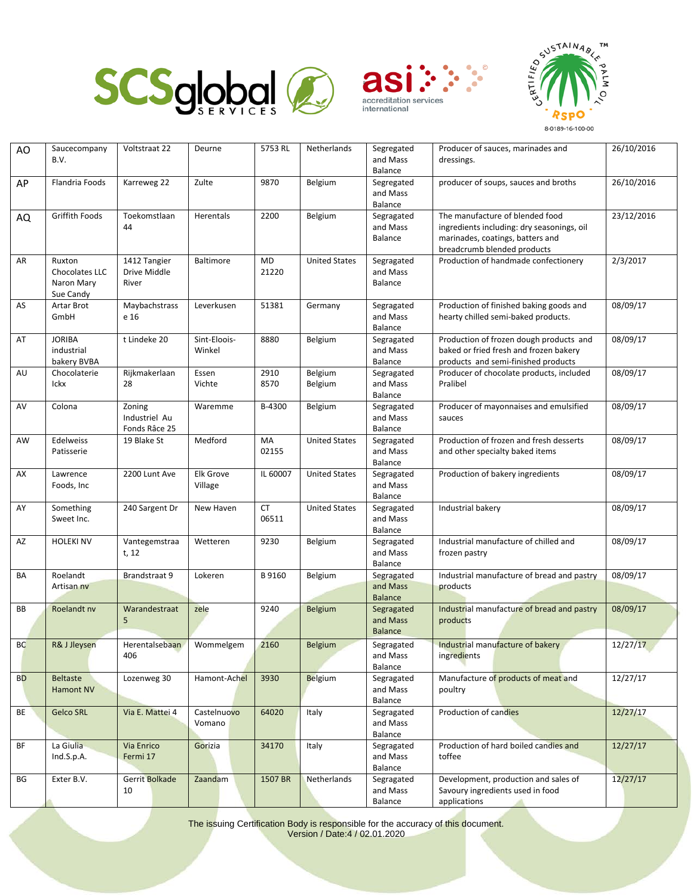





| AO        | Saucecompany            | Voltstraat 22                | Deurne       | 5753 RL   | Netherlands          | Segregated          | Producer of sauces, marinades and                                              | 26/10/2016 |
|-----------|-------------------------|------------------------------|--------------|-----------|----------------------|---------------------|--------------------------------------------------------------------------------|------------|
|           | B.V.                    |                              |              |           |                      | and Mass            | dressings.                                                                     |            |
|           |                         |                              |              |           |                      | Balance             |                                                                                |            |
| AP        | Flandria Foods          | Karreweg 22                  | Zulte        | 9870      | Belgium              | Segregated          | producer of soups, sauces and broths                                           | 26/10/2016 |
|           |                         |                              |              |           |                      | and Mass            |                                                                                |            |
|           |                         |                              |              |           |                      | Balance             | The manufacture of blended food                                                |            |
| AQ        | Griffith Foods          | Toekomstlaan<br>44           | Herentals    | 2200      | Belgium              | Segragated          |                                                                                | 23/12/2016 |
|           |                         |                              |              |           |                      | and Mass<br>Balance | ingredients including: dry seasonings, oil<br>marinades, coatings, batters and |            |
|           |                         |                              |              |           |                      |                     |                                                                                |            |
| AR        | Ruxton                  |                              | Baltimore    | <b>MD</b> |                      | Segragated          | breadcrumb blended products<br>Production of handmade confectionery            | 2/3/2017   |
|           |                         | 1412 Tangier<br>Drive Middle |              | 21220     | <b>United States</b> |                     |                                                                                |            |
|           | Chocolates LLC          | River                        |              |           |                      | and Mass<br>Balance |                                                                                |            |
|           | Naron Mary<br>Sue Candy |                              |              |           |                      |                     |                                                                                |            |
| AS        | Artar Brot              | Maybachstrass                | Leverkusen   | 51381     | Germany              | Segragated          | Production of finished baking goods and                                        | 08/09/17   |
|           | GmbH                    | e 16                         |              |           |                      | and Mass            | hearty chilled semi-baked products.                                            |            |
|           |                         |                              |              |           |                      | Balance             |                                                                                |            |
| AT        | <b>JORIBA</b>           | t Lindeke 20                 | Sint-Eloois- | 8880      | Belgium              | Segragated          | Production of frozen dough products and                                        | 08/09/17   |
|           | industrial              |                              | Winkel       |           |                      | and Mass            | baked or fried fresh and frozen bakery                                         |            |
|           | bakery BVBA             |                              |              |           |                      | Balance             | products and semi-finished products                                            |            |
| AU        | Chocolaterie            | Rijkmakerlaan                | Essen        | 2910      | Belgium              | Segragated          | Producer of chocolate products, included                                       | 08/09/17   |
|           | Ickx                    | 28                           | Vichte       | 8570      | Belgium              | and Mass            | Pralibel                                                                       |            |
|           |                         |                              |              |           |                      | Balance             |                                                                                |            |
| AV        | Colona                  | Zoning                       | Waremme      | B-4300    | Belgium              | Segragated          | Producer of mayonnaises and emulsified                                         | 08/09/17   |
|           |                         | Industriel Au                |              |           |                      | and Mass            | sauces                                                                         |            |
|           |                         | Fonds Râce 25                |              |           |                      | Balance             |                                                                                |            |
| AW        | Edelweiss               | 19 Blake St                  | Medford      | MA        | <b>United States</b> | Segragated          | Production of frozen and fresh desserts                                        | 08/09/17   |
|           | Patisserie              |                              |              | 02155     |                      | and Mass            | and other specialty baked items                                                |            |
|           |                         |                              |              |           |                      | Balance             |                                                                                |            |
| AX        | Lawrence                | 2200 Lunt Ave                | Elk Grove    | IL 60007  | <b>United States</b> | Segragated          | Production of bakery ingredients                                               | 08/09/17   |
|           | Foods, Inc              |                              | Village      |           |                      | and Mass            |                                                                                |            |
|           |                         |                              |              |           |                      | Balance             |                                                                                |            |
| AY        | Something               | 240 Sargent Dr               | New Haven    | <b>CT</b> | <b>United States</b> | Segragated          | Industrial bakery                                                              | 08/09/17   |
|           | Sweet Inc.              |                              |              | 06511     |                      | and Mass            |                                                                                |            |
|           |                         |                              |              |           |                      | Balance             |                                                                                |            |
| AZ        | <b>HOLEKI NV</b>        | Vantegemstraa                | Wetteren     | 9230      | Belgium              | Segragated          | Industrial manufacture of chilled and                                          | 08/09/17   |
|           |                         | t, 12                        |              |           |                      | and Mass            | frozen pastry                                                                  |            |
|           |                         |                              |              |           |                      | Balance             |                                                                                |            |
| BA        | Roelandt                | Brandstraat 9                | Lokeren      | B 9160    | Belgium              | Segragated          | Industrial manufacture of bread and pastry                                     | 08/09/17   |
|           | Artisan ny              |                              |              |           |                      | and Mass            | products                                                                       |            |
|           |                         |                              |              |           |                      | <b>Balance</b>      |                                                                                |            |
| BB        | Roelandt nv             | Warandestraat                | zele         | 9240      | Belgium              | Segragated          | Industrial manufacture of bread and pastry                                     | 08/09/17   |
|           |                         | 5                            |              |           |                      | and Mass            | products                                                                       |            |
|           |                         |                              |              |           |                      | <b>Balance</b>      |                                                                                |            |
| <b>BC</b> | R& J Jleysen            | Herentalsebaan               | Wommelgem    | 2160      | Belgium              | Segragated          | Industrial manufacture of bakery                                               | 12/27/17   |
|           |                         | 406                          |              |           |                      | and Mass            | ingredients                                                                    |            |
|           |                         |                              |              |           |                      | Balance             |                                                                                |            |
| <b>BD</b> | <b>Beltaste</b>         | Lozenweg 30                  | Hamont-Achel | 3930      | <b>Belgium</b>       | Segragated          | Manufacture of products of meat and                                            | 12/27/17   |
|           | <b>Hamont NV</b>        |                              |              |           |                      | and Mass            | poultry                                                                        |            |
|           |                         |                              |              |           |                      | Balance             |                                                                                |            |
| BE        | <b>Gelco SRL</b>        | Via E. Mattei 4              | Castelnuovo  | 64020     | Italy                | Segragated          | Production of candies                                                          | 12/27/17   |
|           |                         |                              | Vomano       |           |                      | and Mass            |                                                                                |            |
|           |                         |                              |              |           |                      | Balance             |                                                                                |            |
| BF        | La Giulia               | Via Enrico                   | Gorizia      | 34170     | Italy                | Segragated          | Production of hard boiled candies and                                          | 12/27/17   |
|           | Ind.S.p.A.              | Fermi 17                     |              |           |                      | and Mass            | toffee                                                                         |            |
|           |                         |                              |              |           |                      | Balance             |                                                                                |            |
| ΒG        | Exter B.V.              | Gerrit Bolkade               | Zaandam      | 1507 BR   | Netherlands          | Segragated          | Development, production and sales of                                           | 12/27/17   |
|           |                         | 10                           |              |           |                      | and Mass            | Savoury ingredients used in food                                               |            |
|           |                         |                              |              |           |                      | Balance             | applications                                                                   |            |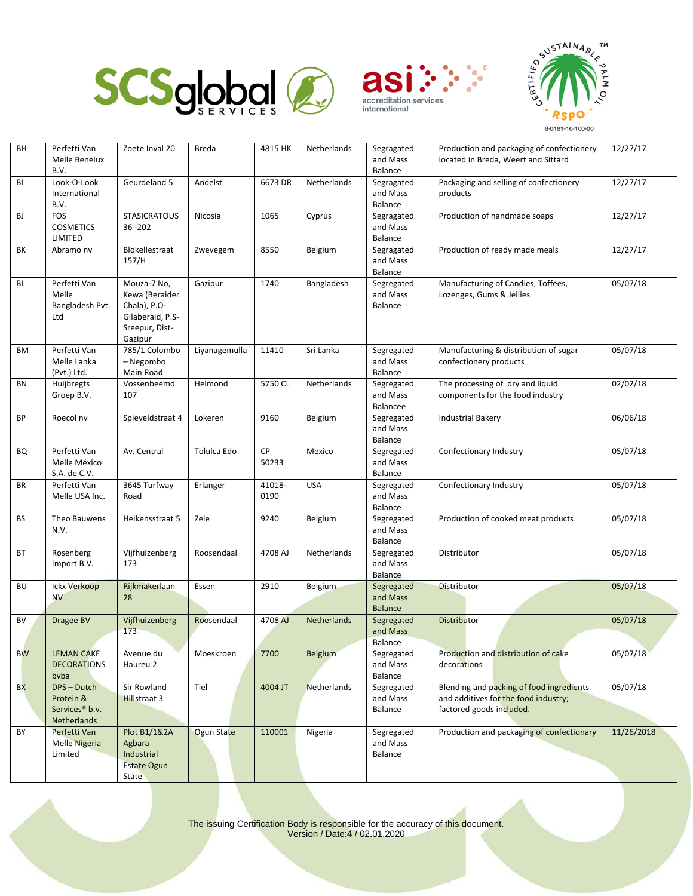





| BH        | Perfetti Van<br>Melle Benelux<br>B.V.                                 | Zoete Inval 20                                                                                 | Breda         | 4815 HK        | Netherlands | Segragated<br>and Mass<br>Balance        | Production and packaging of confectionery<br>located in Breda, Weert and Sittard                             | 12/27/17   |
|-----------|-----------------------------------------------------------------------|------------------------------------------------------------------------------------------------|---------------|----------------|-------------|------------------------------------------|--------------------------------------------------------------------------------------------------------------|------------|
| BI        | Look-O-Look<br>International<br>B.V.                                  | Geurdeland 5                                                                                   | Andelst       | 6673 DR        | Netherlands | Segragated<br>and Mass<br>Balance        | Packaging and selling of confectionery<br>products                                                           | 12/27/17   |
| BJ        | <b>FOS</b><br><b>COSMETICS</b><br>LIMITED                             | <b>STASICRATOUS</b><br>36 - 202                                                                | Nicosia       | 1065           | Cyprus      | Segragated<br>and Mass<br>Balance        | Production of handmade soaps                                                                                 | 12/27/17   |
| ВK        | Abramo nv                                                             | Blokellestraat<br>157/H                                                                        | Zwevegem      | 8550           | Belgium     | Segragated<br>and Mass<br>Balance        | Production of ready made meals                                                                               | 12/27/17   |
| <b>BL</b> | Perfetti Van<br>Melle<br>Bangladesh Pvt.<br>Ltd                       | Mouza-7 No,<br>Kewa (Beraider<br>Chala), P.O-<br>Gilaberaid, P.S-<br>Sreepur, Dist-<br>Gazipur | Gazipur       | 1740           | Bangladesh  | Segregated<br>and Mass<br>Balance        | Manufacturing of Candies, Toffees,<br>Lozenges, Gums & Jellies                                               | 05/07/18   |
| BM        | Perfetti Van<br>Melle Lanka<br>(Pvt.) Ltd.                            | 785/1 Colombo<br>- Negombo<br>Main Road                                                        | Liyanagemulla | 11410          | Sri Lanka   | Segregated<br>and Mass<br>Balance        | Manufacturing & distribution of sugar<br>confectionery products                                              | 05/07/18   |
| <b>BN</b> | Huijbregts<br>Groep B.V.                                              | Vossenbeemd<br>107                                                                             | Helmond       | 5750 CL        | Netherlands | Segregated<br>and Mass<br>Balancee       | The processing of dry and liquid<br>components for the food industry                                         | 02/02/18   |
| BP        | Roecol nv                                                             | Spieveldstraat 4                                                                               | Lokeren       | 9160           | Belgium     | Segregated<br>and Mass<br>Balance        | <b>Industrial Bakery</b>                                                                                     | 06/06/18   |
| BQ        | Perfetti Van<br>Melle México<br>S.A. de C.V.                          | Av. Central                                                                                    | Tolulca Edo   | CP<br>50233    | Mexico      | Segregated<br>and Mass<br>Balance        | Confectionary Industry                                                                                       | 05/07/18   |
| BR        | Perfetti Van<br>Melle USA Inc.                                        | 3645 Turfway<br>Road                                                                           | Erlanger      | 41018-<br>0190 | <b>USA</b>  | Segregated<br>and Mass<br>Balance        | Confectionary Industry                                                                                       | 05/07/18   |
| <b>BS</b> | Theo Bauwens<br>N.V.                                                  | Heikensstraat 5                                                                                | Zele          | 9240           | Belgium     | Segregated<br>and Mass<br>Balance        | Production of cooked meat products                                                                           | 05/07/18   |
| BT        | Rosenberg<br>Import B.V.                                              | Vijfhuizenberg<br>173                                                                          | Roosendaal    | 4708 AJ        | Netherlands | Segregated<br>and Mass<br>Balance        | Distributor                                                                                                  | 05/07/18   |
| <b>BU</b> | <b>Ickx Verkoop</b><br><b>NV</b>                                      | Rijkmakerlaan<br>28                                                                            | Essen         | 2910           | Belgium     | Segregated<br>and Mass<br><b>Balance</b> | <b>Distributor</b>                                                                                           | 05/07/18   |
| BV        | Dragee BV                                                             | Vijfhuizenberg<br>173                                                                          | Roosendaal    | 4708 AJ        | Netherlands | Segregated<br>and Mass<br>Balance        | <b>Distributor</b>                                                                                           | 05/07/18   |
| <b>BW</b> | <b>LEMAN CAKE</b><br><b>DECORATIONS</b><br>byba                       | Avenue du<br>Haureu 2                                                                          | Moeskroen     | 7700           | Belgium     | Segregated<br>and Mass<br>Balance        | Production and distribution of cake<br>decorations                                                           | 05/07/18   |
| <b>BX</b> | DPS - Dutch<br>Protein &<br>Services <sup>®</sup> b.v.<br>Netherlands | Sir Rowland<br>Hillstraat 3                                                                    | Tiel          | 4004 JT        | Netherlands | Segregated<br>and Mass<br>Balance        | Blending and packing of food ingredients<br>and additives for the food industry;<br>factored goods included. | 05/07/18   |
| BY        | Perfetti Van<br><b>Melle Nigeria</b><br>Limited                       | Plot B1/1&2A<br>Agbara<br>Industrial<br><b>Estate Ogun</b><br>State                            | Ogun State    | 110001         | Nigeria     | Segregated<br>and Mass<br>Balance        | Production and packaging of confectionary                                                                    | 11/26/2018 |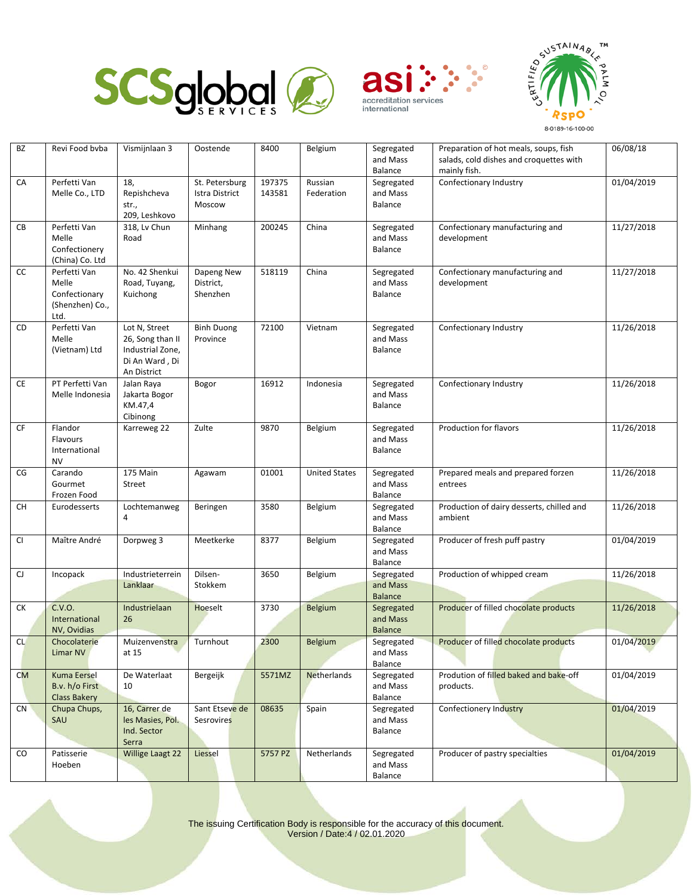





| BZ        | Revi Food byba                                                    | Vismijnlaan 3                                                                          | Oostende                                   | 8400             | Belgium               | Segregated<br>and Mass<br>Balance        | Preparation of hot meals, soups, fish<br>salads, cold dishes and croquettes with<br>mainly fish. | 06/08/18   |
|-----------|-------------------------------------------------------------------|----------------------------------------------------------------------------------------|--------------------------------------------|------------------|-----------------------|------------------------------------------|--------------------------------------------------------------------------------------------------|------------|
| CA        | Perfetti Van<br>Melle Co., LTD                                    | 18,<br>Repishcheva<br>str.,<br>209, Leshkovo                                           | St. Petersburg<br>Istra District<br>Moscow | 197375<br>143581 | Russian<br>Federation | Segregated<br>and Mass<br>Balance        | Confectionary Industry                                                                           | 01/04/2019 |
| CB        | Perfetti Van<br>Melle<br>Confectionery<br>(China) Co. Ltd         | 318, Lv Chun<br>Road                                                                   | Minhang                                    | 200245           | China                 | Segregated<br>and Mass<br>Balance        | Confectionary manufacturing and<br>development                                                   | 11/27/2018 |
| cc        | Perfetti Van<br>Melle<br>Confectionary<br>(Shenzhen) Co.,<br>Ltd. | No. 42 Shenkui<br>Road, Tuyang,<br>Kuichong                                            | Dapeng New<br>District,<br>Shenzhen        | 518119           | China                 | Segregated<br>and Mass<br>Balance        | Confectionary manufacturing and<br>development                                                   | 11/27/2018 |
| CD        | Perfetti Van<br>Melle<br>(Vietnam) Ltd                            | Lot N, Street<br>26, Song than II<br>Industrial Zone,<br>Di An Ward, Di<br>An District | <b>Binh Duong</b><br>Province              | 72100            | Vietnam               | Segregated<br>and Mass<br>Balance        | Confectionary Industry                                                                           | 11/26/2018 |
| CE        | PT Perfetti Van<br>Melle Indonesia                                | Jalan Raya<br>Jakarta Bogor<br>KM.47,4<br>Cibinong                                     | Bogor                                      | 16912            | Indonesia             | Segregated<br>and Mass<br>Balance        | Confectionary Industry                                                                           | 11/26/2018 |
| CF        | Flandor<br><b>Flavours</b><br>International<br><b>NV</b>          | Karreweg 22                                                                            | Zulte                                      | 9870             | Belgium               | Segregated<br>and Mass<br>Balance        | Production for flavors                                                                           | 11/26/2018 |
| CG        | Carando<br>Gourmet<br>Frozen Food                                 | 175 Main<br>Street                                                                     | Agawam                                     | 01001            | <b>United States</b>  | Segregated<br>and Mass<br>Balance        | Prepared meals and prepared forzen<br>entrees                                                    | 11/26/2018 |
| CH        | Eurodesserts                                                      | Lochtemanweg<br>4                                                                      | Beringen                                   | 3580             | Belgium               | Segregated<br>and Mass<br>Balance        | Production of dairy desserts, chilled and<br>ambient                                             | 11/26/2018 |
| <b>CI</b> | Maître André                                                      | Dorpweg 3                                                                              | Meetkerke                                  | 8377             | Belgium               | Segregated<br>and Mass<br>Balance        | Producer of fresh puff pastry                                                                    | 01/04/2019 |
| CJ        | Incopack                                                          | Industrieterrein<br>Lanklaar                                                           | Dilsen-<br>Stokkem                         | 3650             | Belgium               | Segregated<br>and Mass<br><b>Balance</b> | Production of whipped cream                                                                      | 11/26/2018 |
| СK        | C.V.O.<br>International<br>NV, Ovidias                            | Industrielaan<br>26                                                                    | Hoeselt                                    | 3730             | Belgium               | Segregated<br>and Mass<br><b>Balance</b> | Producer of filled chocolate products                                                            | 11/26/2018 |
| <b>CL</b> | Chocolaterie<br>Limar NV                                          | Muizenvenstra<br>at 15                                                                 | Turnhout                                   | 2300             | Belgium               | Segregated<br>and Mass<br>Balance        | Producer of filled chocolate products                                                            | 01/04/2019 |
| CM        | <b>Kuma Eersel</b><br>B.v. h/o First<br><b>Class Bakery</b>       | De Waterlaat<br>10                                                                     | Bergeijk                                   | 5571MZ           | Netherlands           | Segregated<br>and Mass<br>Balance        | Prodution of filled baked and bake-off<br>products.                                              | 01/04/2019 |
| <b>CN</b> | Chupa Chups,<br>SAU                                               | 16, Carrer de<br>les Masies, Pol.<br>Ind. Sector<br>Serra                              | Sant Etseve de<br><b>Sesrovires</b>        | 08635            | Spain                 | Segregated<br>and Mass<br>Balance        | Confectionery Industry                                                                           | 01/04/2019 |
| CO        | Patisserie<br>Hoeben                                              | Willige Laagt 22                                                                       | Liessel                                    | 5757 PZ          | Netherlands           | Segregated<br>and Mass<br>Balance        | Producer of pastry specialties                                                                   | 01/04/2019 |